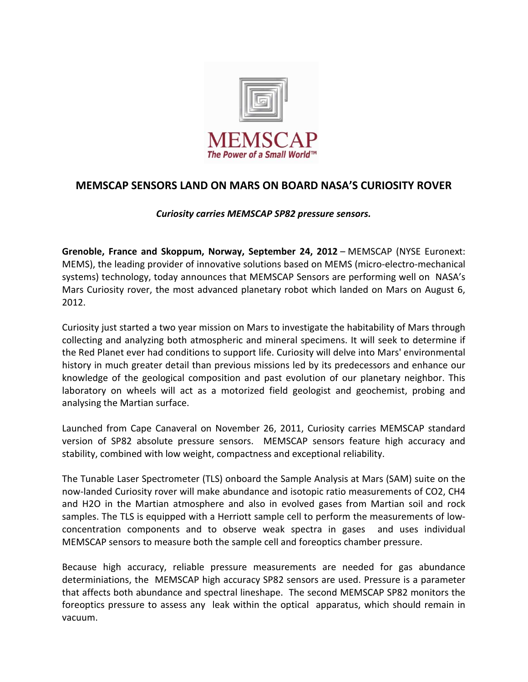

## MEMSCAP SENSORS LAND ON MARS ON BOARD NASA'S CURIOSITY ROVER

## Curiosity carries MEMSCAP SP82 pressure sensors.

Grenoble, France and Skoppum, Norway, September 24, 2012 – MEMSCAP (NYSE Euronext: MEMS), the leading provider of innovative solutions based on MEMS (micro-electro-mechanical systems) technology, today announces that MEMSCAP Sensors are performing well on NASA's Mars Curiosity rover, the most advanced planetary robot which landed on Mars on August 6, 2012.

Curiosity just started a two year mission on Mars to investigate the habitability of Mars through collecting and analyzing both atmospheric and mineral specimens. It will seek to determine if the Red Planet ever had conditions to support life. Curiosity will delve into Mars' environmental history in much greater detail than previous missions led by its predecessors and enhance our knowledge of the geological composition and past evolution of our planetary neighbor. This laboratory on wheels will act as a motorized field geologist and geochemist, probing and analysing the Martian surface.

Launched from Cape Canaveral on November 26, 2011, Curiosity carries MEMSCAP standard version of SP82 absolute pressure sensors. MEMSCAP sensors feature high accuracy and stability, combined with low weight, compactness and exceptional reliability.

The Tunable Laser Spectrometer (TLS) onboard the Sample Analysis at Mars (SAM) suite on the now-landed Curiosity rover will make abundance and isotopic ratio measurements of CO2, CH4 and H2O in the Martian atmosphere and also in evolved gases from Martian soil and rock samples. The TLS is equipped with a Herriott sample cell to perform the measurements of lowconcentration components and to observe weak spectra in gases and uses individual MEMSCAP sensors to measure both the sample cell and foreoptics chamber pressure.

Because high accuracy, reliable pressure measurements are needed for gas abundance determiniations, the MEMSCAP high accuracy SP82 sensors are used. Pressure is a parameter that affects both abundance and spectral lineshape. The second MEMSCAP SP82 monitors the foreoptics pressure to assess any leak within the optical apparatus, which should remain in vacuum.